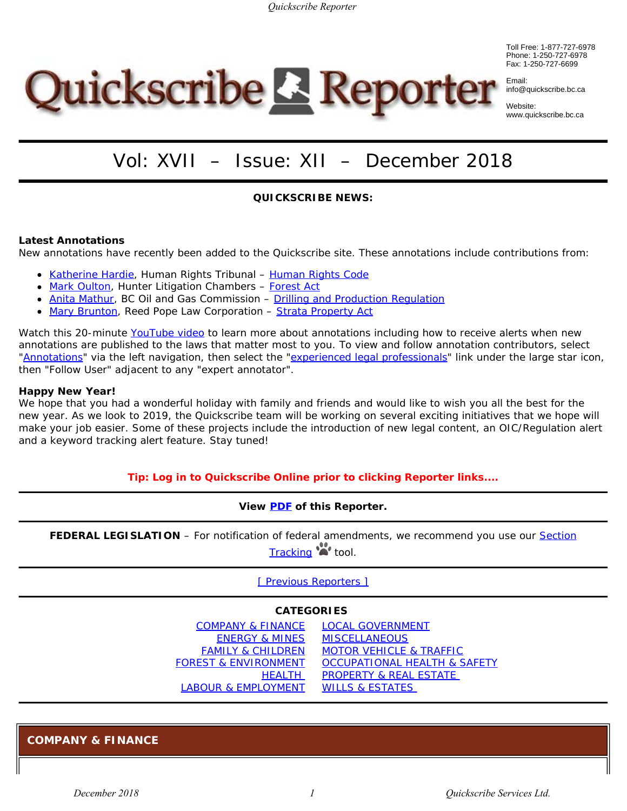Toll Free: 1-877-727-6978 Phone: 1-250-727-6978 Fax: 1-250-727-6699



Website: www.quickscribe.bc.ca

# **Quickscribe & Reporter**

# Vol: XVII – Issue: XII – December 2018

#### **QUICKSCRIBE NEWS:**

#### **Latest Annotations**

New annotations have recently been added to the Quickscribe site. These annotations include contributions from:

- [Katherine Hardie,](https://www.quickscribe.bc.ca/secure/MeetTheExperts.php?action=MeetAnExpert&expert=katherine-hardie) Human Rights Tribunal *[Human Rights Code](https://www.quickscribe.bc.ca/secure/index.php?page=document&doc_id=396)*
- [Mark Oulton](https://www.quickscribe.bc.ca/secure/MeetTheExperts.php?action=MeetAnExpert&expert=mark-oulton), Hunter Litigation Chambers *[Forest Act](https://www.quickscribe.bc.ca/secure/index.php?page=document&doc_id=205)*
- [Anita Mathur](https://www.quickscribe.bc.ca/secure/MeetTheExperts.php?action=MeetAnExpert&expert=anita-mathur), BC Oil and Gas Commission – [Drilling and Production Regulation](https://www.quickscribe.bc.ca/secure/index.php?page=document&doc_id=3728)
- [Mary Brunton](http://www.quickscribe.bc.ca/MeetAnExpert/mary-a-m-brunton), Reed Pope Law Corporation *[Strata Property Act](https://www.quickscribe.bc.ca/secure/index.php?page=document&doc_id=255)*

Watch this 20-minute [YouTube](https://www.youtube.com/watch?v=tOeF2qSDzAA) [video](https://www.youtube.com/watch?v=tOeF2qSDzAA) to learn more about annotations including how to receive alerts when new annotations are published to the laws that matter most to you. To view and follow annotation contributors, select ["Annotations](https://www.quickscribe.bc.ca/secure/index.php?page=annotations)" via the left navigation, then select the "[experienced legal professionals](https://www.quickscribe.bc.ca/secure/MeetTheExperts.php)" link under the large star icon, then "Follow User" adjacent to any "expert annotator".

#### **Happy New Year!**

We hope that you had a wonderful holiday with family and friends and would like to wish you all the best for the new year. As we look to 2019, the Quickscribe team will be working on several exciting initiatives that we hope will make your job easier. Some of these projects include the introduction of new legal content, an OIC/Regulation alert and a keyword tracking alert feature. Stay tuned!

#### **Tip: Log in to Quickscribe Online prior to clicking Reporter links....**

#### **View [PDF](https://www.quickscribe.bc.ca/secure/bills/Reporter-QS-2018/Reporter_November_2018.pdf) of this Reporter.**

FEDERAL LEGISLATION – For notification of federal amendments, we recommend you use our **Section** [Tracking](https://www.quickscribe.bc.ca/alerts/) **\*\*** tool.

[\[ Previous Reporters \]](https://www.quickscribe.bc.ca/secure/bills/Reporter-archives.html)

#### **CATEGORIES**

| COMPANY & FINANCE LOCAL GOVERNMENT |                                         |
|------------------------------------|-----------------------------------------|
| <b>ENERGY &amp; MINES</b>          | <b>MISCELLANEOUS</b>                    |
| <b>FAMILY &amp; CHILDREN</b>       | <b>MOTOR VEHICLE &amp; TRAFFIC</b>      |
| <b>FOREST &amp; ENVIRONMENT</b>    | <b>OCCUPATIONAL HEALTH &amp; SAFETY</b> |
| <b>HEALTH</b>                      | <b>PROPERTY &amp; REAL ESTATE</b>       |
| LABOUR & EMPLOYMENT                | <b>WILLS &amp; ESTATES</b>              |

<span id="page-0-0"></span>**COMPANY & FINANCE**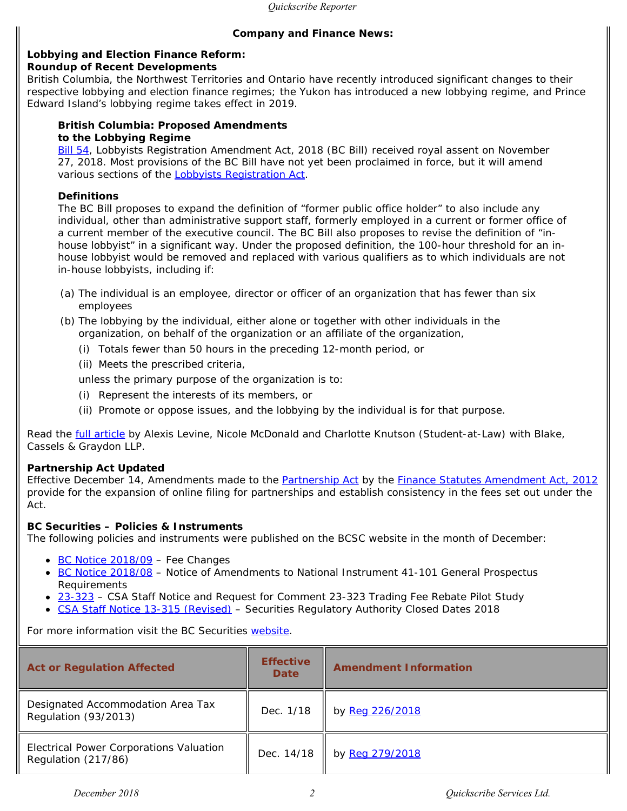#### **Company and Finance News:**

#### **Lobbying and Election Finance Reform: Roundup of Recent Developments**

British Columbia, the Northwest Territories and Ontario have recently introduced significant changes to their respective lobbying and election finance regimes; the Yukon has introduced a new lobbying regime, and Prince Edward Island's lobbying regime takes effect in 2019.

#### *British Columbia: Proposed Amendments to the Lobbying Regime*

[Bill 54](https://www.quickscribe.bc.ca/secure/repository_redirect.php?document=3c315af47f7510be3f47817b2f3ee271&anchor=), *Lobbyists Registration Amendment Act, 2018* (BC Bill) received royal assent on November 27, 2018. Most provisions of the BC Bill have not yet been proclaimed in force, but it will amend various sections of the *[Lobbyists Registration Act](https://www.quickscribe.bc.ca/secure/index.php?page=document&doc_id=1475)*.

#### **Definitions**

The BC Bill proposes to expand the definition of "former public office holder" to also include any individual, other than administrative support staff, formerly employed in a current or former office of a current member of the executive council. The BC Bill also proposes to revise the definition of "inhouse lobbyist" in a significant way. Under the proposed definition, the 100-hour threshold for an inhouse lobbyist would be removed and replaced with various qualifiers as to which individuals are not in-house lobbyists, including if:

- (a) The individual is an employee, director or officer of an organization that has fewer than six employees
- (b) The lobbying by the individual, either alone or together with other individuals in the organization, on behalf of the organization or an affiliate of the organization,
	- (i) Totals fewer than 50 hours in the preceding 12-month period, or
	- (ii) Meets the prescribed criteria,

unless the primary purpose of the organization is to:

- (i) Represent the interests of its members, or
- (ii) Promote or oppose issues, and the lobbying by the individual is for that purpose.

Read the [full article](https://www.blakesbusinessclass.com/lobbying-election-finance-reform-roundup-recent-developments/#page=1%20) by Alexis Levine, Nicole McDonald and Charlotte Knutson (Student-at-Law) with Blake, Cassels & Graydon LLP.

#### *Partnership Act* **Updated**

Effective December 14, Amendments made to the *[Partnership Act](https://www.quickscribe.bc.ca/secure/index.php?page=document&doc_id=484)* by the *[Finance Statutes Amendment Act, 2012](https://www.quickscribe.bc.ca//secure/repository_redirect.php?document=631fe55d6f7d8894f633cbdbf41fe20e&anchor=s79)* provide for the expansion of online filing for partnerships and establish consistency in the fees set out under the Act.

#### **BC Securities – Policies & Instruments**

The following policies and instruments were published on the BCSC website in the month of December:

- $\cdot$  [BC Notice 2018/09](https://www.bcsc.bc.ca/BCN_2018_09_12062018/) Fee Changes
- [BC Notice 2018/08](https://www.bcsc.bc.ca/BCN_2018-08_12102018/) Notice of Amendments to National Instrument 41-101 *General Prospectus Requirements*
- [23-323](https://www.bcsc.bc.ca/23-323_[CSA_Staff_Notice_and_Request_for_Comment]_12182018/)  CSA Staff Notice and Request for Comment 23-323 *Trading Fee Rebate Pilot Study*
- [CSA Staff Notice 13-315 \(Revised\)](https://www.bcsc.bc.ca/13-315_[CSA_Staff_Notice]_12132018/)  Securities Regulatory Authority Closed Dates 2018

For more information visit the BC Securities [website](http://www.bcsc.bc.ca/default.asp).

| <b>Act or Regulation Affected</b>                              | <b>Effective</b><br><b>Date</b> | <b>Amendment Information</b> |
|----------------------------------------------------------------|---------------------------------|------------------------------|
| Designated Accommodation Area Tax<br>Regulation (93/2013)      | Dec. 1/18                       | by Reg 226/2018              |
| Electrical Power Corporations Valuation<br>Regulation (217/86) | Dec. 14/18                      | by Reg 279/2018              |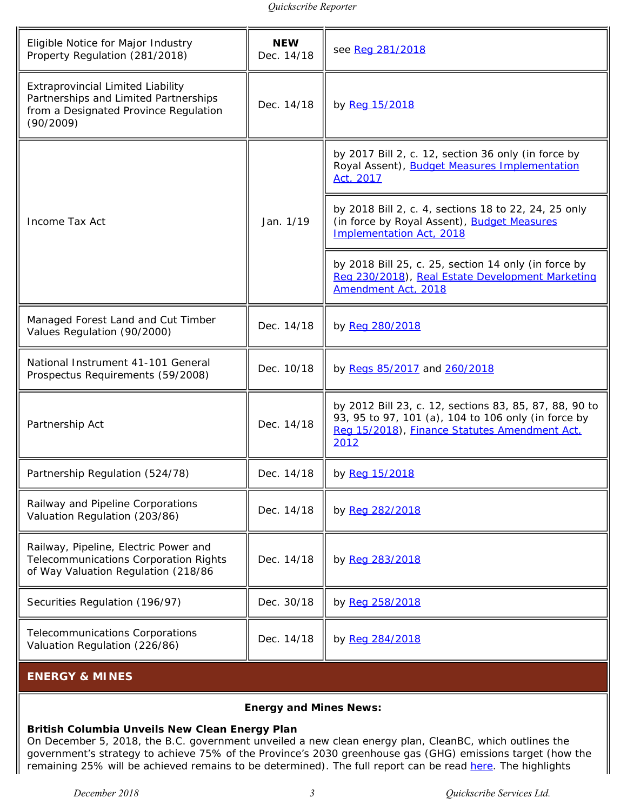| Eligible Notice for Major Industry<br>Property Regulation (281/2018)                                                                    | <b>NEW</b><br>Dec. 14/18 | see Reg 281/2018                                                                                                                                                       |
|-----------------------------------------------------------------------------------------------------------------------------------------|--------------------------|------------------------------------------------------------------------------------------------------------------------------------------------------------------------|
| <b>Extraprovincial Limited Liability</b><br>Partnerships and Limited Partnerships<br>from a Designated Province Regulation<br>(90/2009) | Dec. 14/18               | by Reg 15/2018                                                                                                                                                         |
|                                                                                                                                         |                          | by 2017 Bill 2, c. 12, section 36 only (in force by<br>Royal Assent), <b>Budget Measures Implementation</b><br>Act, 2017                                               |
| Income Tax Act                                                                                                                          | Jan. 1/19                | by 2018 Bill 2, c. 4, sections 18 to 22, 24, 25 only<br>(in force by Royal Assent), Budget Measures<br>Implementation Act, 2018                                        |
|                                                                                                                                         |                          | by 2018 Bill 25, c. 25, section 14 only (in force by<br>Reg 230/2018), Real Estate Development Marketing<br>Amendment Act, 2018                                        |
| Managed Forest Land and Cut Timber<br>Values Regulation (90/2000)                                                                       | Dec. 14/18               | by Reg 280/2018                                                                                                                                                        |
| National Instrument 41-101 General<br>Prospectus Requirements (59/2008)                                                                 | Dec. 10/18               | by Regs 85/2017 and 260/2018                                                                                                                                           |
| Partnership Act                                                                                                                         | Dec. 14/18               | by 2012 Bill 23, c. 12, sections 83, 85, 87, 88, 90 to<br>93, 95 to 97, 101 (a), 104 to 106 only (in force by<br>Reg 15/2018), Finance Statutes Amendment Act.<br>2012 |
| Partnership Regulation (524/78)                                                                                                         | Dec. 14/18               | by Reg 15/2018                                                                                                                                                         |
| Railway and Pipeline Corporations<br>Valuation Regulation (203/86)                                                                      | Dec. 14/18               | by Reg 282/2018                                                                                                                                                        |
| Railway, Pipeline, Electric Power and<br>Telecommunications Corporation Rights<br>of Way Valuation Regulation (218/86                   | Dec. 14/18               | by Reg 283/2018                                                                                                                                                        |
| Securities Regulation (196/97)                                                                                                          | Dec. 30/18               | by Reg 258/2018                                                                                                                                                        |
| Telecommunications Corporations<br>Valuation Regulation (226/86)                                                                        | Dec. 14/18               | by Reg 284/2018                                                                                                                                                        |

#### <span id="page-2-0"></span>**ENERGY & MINES**

#### **Energy and Mines News:**

#### **British Columbia Unveils New Clean Energy Plan**

On December 5, 2018, the B.C. government unveiled a new clean energy plan, CleanBC, which outlines the government's strategy to achieve 75% of the Province's 2030 greenhouse gas (GHG) emissions target (how the remaining 25% will be achieved remains to be determined). The full report can be read [here](https://cleanbc.gov.bc.ca/app/uploads/sites/436/2018/12/CleanBC_Full_Report.pdf). The highlights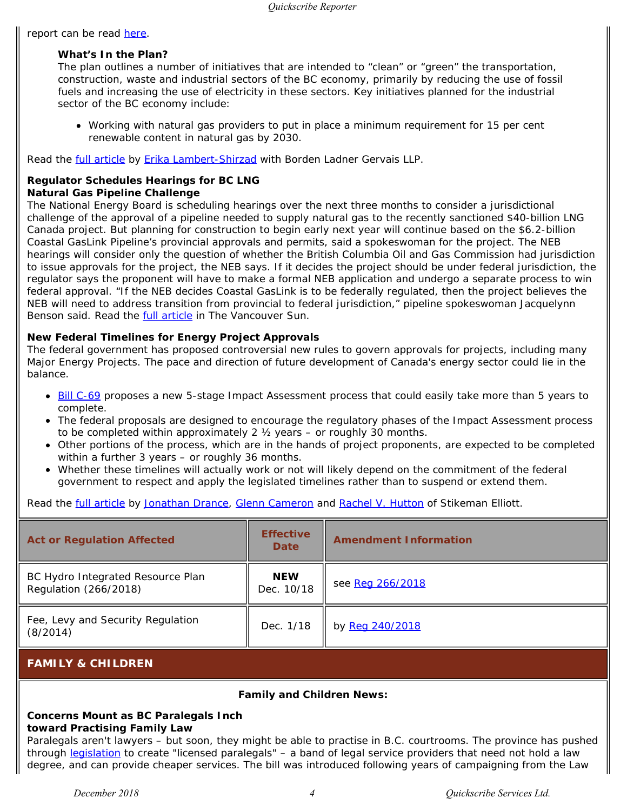report can be read [here](https://cleanbc.gov.bc.ca/app/uploads/sites/436/2018/12/CleanBC_Highlights_Report.pdf).

#### *What's In the Plan?*

The plan outlines a number of initiatives that are intended to "clean" or "green" the transportation, construction, waste and industrial sectors of the BC economy, primarily by reducing the use of fossil fuels and increasing the use of electricity in these sectors. Key initiatives planned for the industrial sector of the BC economy include:

Working with natural gas providers to put in place a minimum requirement for 15 per cent renewable content in natural gas by 2030.

Read the *full article by Erika Lambert-Shirzad* with Borden Ladner Gervais LLP.

#### **Regulator Schedules Hearings for BC LNG Natural Gas Pipeline Challenge**

The National Energy Board is scheduling hearings over the next three months to consider a jurisdictional challenge of the approval of a pipeline needed to supply natural gas to the recently sanctioned \$40-billion LNG Canada project. But planning for construction to begin early next year will continue based on the \$6.2-billion Coastal GasLink Pipeline's provincial approvals and permits, said a spokeswoman for the project. The NEB hearings will consider only the question of whether the British Columbia Oil and Gas Commission had jurisdiction to issue approvals for the project, the NEB says. If it decides the project should be under federal jurisdiction, the regulator says the proponent will have to make a formal NEB application and undergo a separate process to win federal approval. "If the NEB decides Coastal GasLink is to be federally regulated, then the project believes the NEB will need to address transition from provincial to federal jurisdiction," pipeline spokeswoman Jacquelynn Benson said. Read the [full article](https://vancouversun.com/business/local-business/regulator-schedules-hearings-for-b-c-lng-natural-gas-pipeline-challenge%20) in *The Vancouver Sun*.

#### **New Federal Timelines for Energy Project Approvals**

The federal government has proposed controversial new rules to govern approvals for projects, including many Major Energy Projects. The pace and direction of future development of Canada's energy sector could lie in the balance.

- [Bill C-69](http://www.parl.ca/DocumentViewer/en/42-1/bill/C-69/third-reading) proposes a new 5-stage Impact Assessment process that could easily take more than 5 years to complete.
- The federal proposals are designed to encourage the regulatory phases of the Impact Assessment process to be completed within approximately 2 ½ years – or roughly 30 months.
- Other portions of the process, which are in the hands of project proponents, are expected to be completed within a further 3 years – or roughly 36 months.
- Whether these timelines will actually work or not will likely depend on the commitment of the federal government to respect and apply the legislated timelines rather than to suspend or extend them.

Read the *full article by [Jonathan Drance](https://www.stikeman.com/en-ca/people/jonathan-drance), [Glenn Cameron](https://www.stikeman.com/en-ca/people/glenn-cameron)* and [Rachel V. Hutton](https://www.stikeman.com/en-ca/people/rachel-v-hutton) of Stikeman Elliott.

| <b>Act or Regulation Affected</b>                          | <b>Effective</b><br><b>Date</b> | <b>Amendment Information</b> |
|------------------------------------------------------------|---------------------------------|------------------------------|
| BC Hydro Integrated Resource Plan<br>Regulation (266/2018) | <b>NEW</b><br>Dec. 10/18        | see Reg 266/2018             |
| Fee, Levy and Security Regulation<br>(8/2014)              | Dec. 1/18                       | by Reg 240/2018              |

#### <span id="page-3-0"></span>**FAMILY & CHILDREN**

#### **Family and Children News:**

#### **Concerns Mount as BC Paralegals Inch toward Practising Family Law**

Paralegals aren't lawyers – but soon, they might be able to practise in B.C. courtrooms. The province has pushed through [legislation](https://www.quickscribe.bc.ca/secure/repository_redirect.php?document=e06a4db4b4890f99a7a02011f2494f2e&anchor=s25) to create "licensed paralegals" – a band of legal service providers that need not hold a law degree, and can provide cheaper services. The bill was introduced following years of campaigning from the Law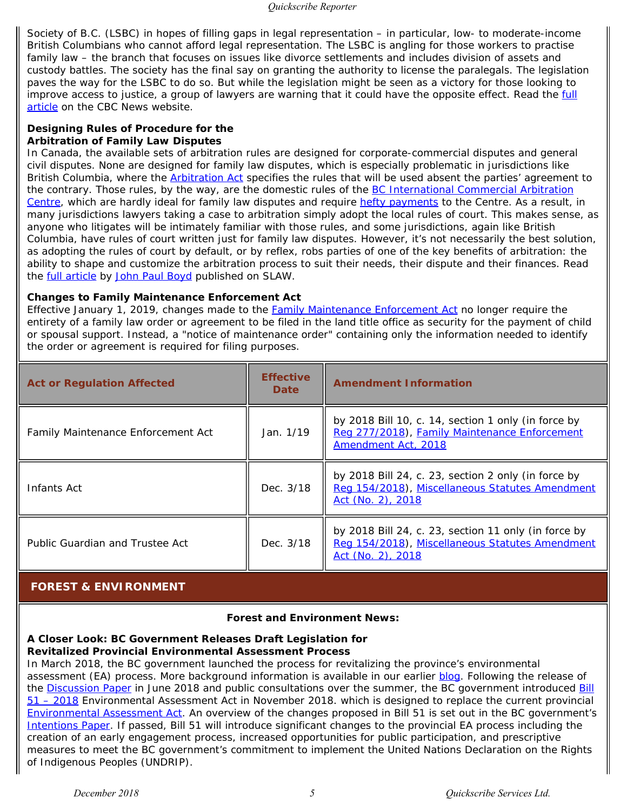Society of B.C. (LSBC) in hopes of filling gaps in legal representation – in particular, low- to moderate-income British Columbians who cannot afford legal representation. The LSBC is angling for those workers to practise family law – the branch that focuses on issues like divorce settlements and includes division of assets and custody battles. The society has the final say on granting the authority to license the paralegals. The legislation paves the way for the LSBC to do so. But while the legislation might be seen as a victory for those looking to improve access to justice, a group of lawyers are warning that it could have the opposite effect. Read the *full* [article](https://www.cbc.ca/news/canada/british-columbia/concerns-mount-as-b-c-paralegals-inch-toward-practising-family-law-1.4928529) on the *CBC News* website.

#### **Designing Rules of Procedure for the Arbitration of Family Law Disputes**

In Canada, the available sets of arbitration rules are designed for corporate-commercial disputes and general civil disputes. None are designed for family law disputes, which is especially problematic in jurisdictions like British Columbia, where the *[Arbitration Act](https://www.quickscribe.bc.ca/secure/index.php?page=document&doc_id=1271)* specifies the rules that will be used absent the parties' agreement to the contrary. Those rules, by the way, are the domestic rules of the **BC** International Commercial Arbitration [Centre](http://bcicac.com/), which are hardly ideal for family law disputes and require [hefty payments](http://bcicac.com/arbitration/fee-schedule/) to the Centre. As a result, in many jurisdictions lawyers taking a case to arbitration simply adopt the local rules of court. This makes sense, as anyone who litigates will be intimately familiar with those rules, and some jurisdictions, again like British Columbia, have rules of court written just for family law disputes. However, it's not necessarily the best solution, as adopting the rules of court by default, or by reflex, robs parties of one of the key benefits of arbitration: the ability to shape and customize the arbitration process to suit their needs, their dispute and their finances. Read the **full article by [John Paul Boyd](https://www.quickscribe.bc.ca/MeetAnExpert/john-paul-boyd)** published on SLAW.

#### **Changes to** *Family Maintenance Enforcement Act*

Effective January 1, 2019, changes made to the *[Family Maintenance Enforcement Act](https://www.quickscribe.bc.ca/secure/index.php?page=document&doc_id=494)* no longer require the entirety of a family law order or agreement to be filed in the land title office as security for the payment of child or spousal support. Instead, a "notice of maintenance order" containing only the information needed to identify the order or agreement is required for filing purposes.

| <b>Act or Regulation Affected</b>  | <b>Effective</b><br><b>Date</b> | <b>Amendment Information</b>                                                                                                 |
|------------------------------------|---------------------------------|------------------------------------------------------------------------------------------------------------------------------|
| Family Maintenance Enforcement Act | Jan. 1/19                       | by 2018 Bill 10, c. 14, section 1 only (in force by<br>Reg 277/2018), Family Maintenance Enforcement<br>Amendment Act, 2018  |
| Infants Act                        | Dec. 3/18                       | by 2018 Bill 24, c. 23, section 2 only (in force by<br>Reg 154/2018), Miscellaneous Statutes Amendment<br>Act (No. 2), 2018  |
| Public Guardian and Trustee Act    | Dec. 3/18                       | by 2018 Bill 24, c. 23, section 11 only (in force by<br>Reg 154/2018), Miscellaneous Statutes Amendment<br>Act (No. 2), 2018 |

#### <span id="page-4-0"></span> **FOREST & ENVIRONMENT**

#### **Forest and Environment News:**

#### **A Closer Look: BC Government Releases Draft Legislation for Revitalized Provincial Environmental Assessment Process**

In March 2018, the BC government launched the process for revitalizing the province's environmental assessment (EA) process. More background information is available in our earlier [blog](https://www.mccarthy.ca/en/insights/blogs/canadian-era-perspectives/bc-government-sets-stage-revitalizing-provincial-environmental-assessment-process). Following the release of the [Discussion Paper](https://www2.gov.bc.ca/assets/gov/environment/natural-resource-stewardship/environmental-assessments/environmental-assessment-revitalization/documents/ea_revitalization_discussion_paper_final.pdf) in June 2018 and public consultations over the summer, the BC government introduced [Bill](https://www.quickscribe.bc.ca/secure/repository_redirect.php?document=7bc1f80a17bd82f8f804cdd6d91334ba&anchor=) [51 – 2018](https://www.quickscribe.bc.ca/secure/repository_redirect.php?document=7bc1f80a17bd82f8f804cdd6d91334ba&anchor=) *Environmental Assessment Act* in November 2018. which is designed to replace the current provincial *[Environmental Assessment Act](https://www.quickscribe.bc.ca/secure/index.php?page=document&doc_id=603)*. An overview of the changes proposed in Bill 51 is set out in the BC government's [Intentions Paper](https://www2.gov.bc.ca/assets/gov/environment/natural-resource-stewardship/environmental-assessments/environmental-assessment-revitalization/documents/ea_revitalization_intentions_paper.pdf). If passed, Bill 51 will introduce significant changes to the provincial EA process including the creation of an early engagement process, increased opportunities for public participation, and prescriptive measures to meet the BC government's commitment to implement the United Nations Declaration on the Rights of Indigenous Peoples (UNDRIP).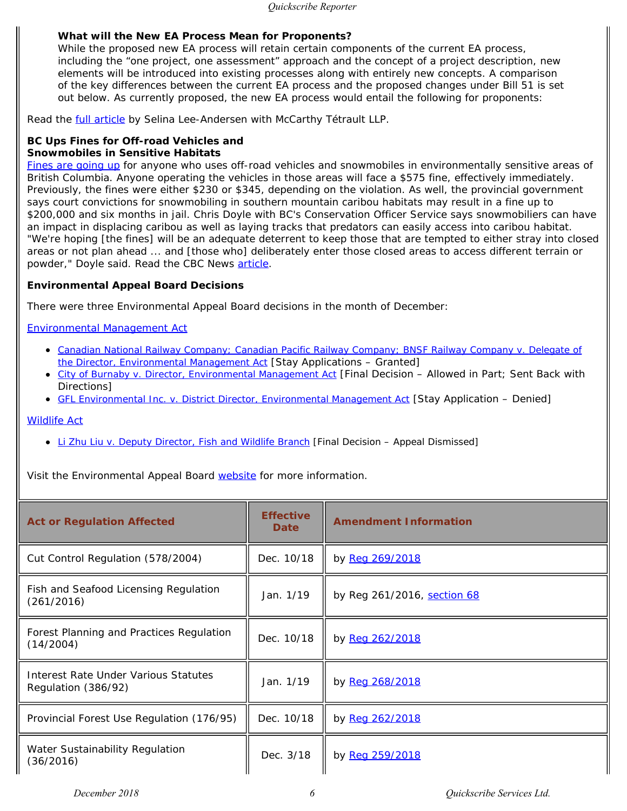#### *What will the New EA Process Mean for Proponents?*

While the proposed new EA process will retain certain components of the current EA process, including the "one project, one assessment" approach and the concept of a project description, new elements will be introduced into existing processes along with entirely new concepts. A comparison of the key differences between the current EA process and the proposed changes under Bill 51 is set out below. As currently proposed, the new EA process would entail the following for proponents:

Read the **full article by Selina Lee-Andersen with McCarthy Tétrault LLP.** 

#### **BC Ups Fines for Off-road Vehicles and Snowmobiles in Sensitive Habitats**

[Fines are going up](https://www.quickscribe.bc.ca/secure/repository_redirect.php?document=3f3a1c23f89e2bb4c0360894699146ed&anchor=) for anyone who uses off-road vehicles and snowmobiles in environmentally sensitive areas of British Columbia. Anyone operating the vehicles in those areas will face a \$575 fine, effectively immediately. Previously, the fines were either \$230 or \$345, depending on the violation. As well, the provincial government says court convictions for snowmobiling in southern mountain caribou habitats may result in a fine up to \$200,000 and six months in jail. Chris Doyle with BC's Conservation Officer Service says snowmobiliers can have an impact in displacing caribou as well as laying tracks that predators can easily access into caribou habitat. "We're hoping [the fines] will be an adequate deterrent to keep those that are tempted to either stray into closed areas or not plan ahead ... and [those who] deliberately enter those closed areas to access different terrain or powder," Doyle said. Read the CBC News [article](https://www.cbc.ca/news/canada/british-columbia/b-c-ups-fines-for-off-road-vehicles-and-snowmobiles-in-sensitive-habitats-1.4932712).

#### **Environmental Appeal Board Decisions**

There were three Environmental Appeal Board decisions in the month of December:

#### *[Environmental](https://www.quickscribe.bc.ca/secure/index.php?page=document&doc_id=742) [Management Act](https://www.quickscribe.bc.ca/secure/index.php?page=document&doc_id=742)*

- *[Canadian National Railway Company; Canadian Pacific Railway Company; BNSF Railway Company v. Delegate of](http://www.eab.gov.bc.ca/ema/2018ema043a_044a_045a.pdf) [the Director, Environmental Management Act](http://www.eab.gov.bc.ca/ema/2018ema043a_044a_045a.pdf)* [Stay Applications – Granted]
- *[City of Burnaby v. Director,](http://www.eab.gov.bc.ca/ema/2016ema065a.pdf) [Environmental Management Act](http://www.eab.gov.bc.ca/ema/2016ema065a.pdf)* [Final Decision Allowed in Part; Sent Back with Directions]
- *[GFL Environmental Inc. v. District Director,](http://www.eab.gov.bc.ca/ema/2018ema021a.pdf) [Environmental Management Act](http://www.eab.gov.bc.ca/ema/2018ema021a.pdf)* [Stay Application Denied]

#### *[Wildlife Act](https://www.quickscribe.bc.ca/secure/index.php?page=document&doc_id=204)*

*[Li Zhu Liu v. Deputy Director, Fish and Wildlife Branch](http://www.eab.gov.bc.ca/wildlife/2018wil001a.pdf)* [Final Decision – Appeal Dismissed]

Visit the Environmental Appeal Board [website](http://www.eab.gov.bc.ca/decisions.htm) for more information.

| <b>Act or Regulation Affected</b>                           | <b>Effective</b><br>Date | <b>Amendment Information</b> |
|-------------------------------------------------------------|--------------------------|------------------------------|
| Cut Control Regulation (578/2004)                           | Dec. 10/18               | by Reg 269/2018              |
| Fish and Seafood Licensing Regulation<br>(261/2016)         | Jan. 1/19                | by Reg 261/2016, section 68  |
| Forest Planning and Practices Regulation<br>(14/2004)       | Dec. 10/18               | by Reg 262/2018              |
| Interest Rate Under Various Statutes<br>Regulation (386/92) | Jan. 1/19                | by Reg 268/2018              |
| Provincial Forest Use Regulation (176/95)                   | Dec. 10/18               | by Reg 262/2018              |
| Water Sustainability Regulation<br>(36/2016)                | Dec. 3/18                | by Reg 259/2018              |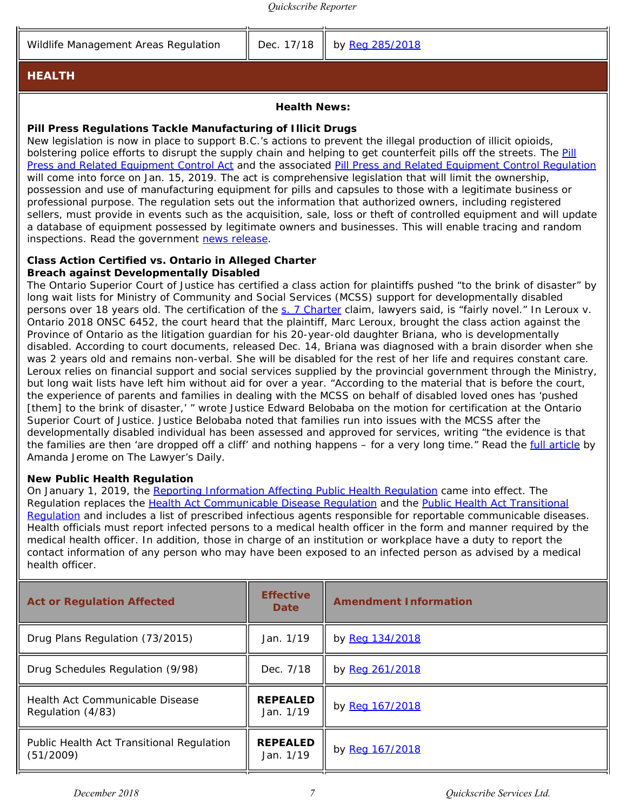Wildlife Management Areas Regulation  $\parallel$  Dec. 17/18  $\parallel$  by [Reg 285/2018](https://www.quickscribe.bc.ca/secure/repository_redirect.php?document=59690ec7658dd9ecd708c328ee72e2cb&anchor=)

#### <span id="page-6-0"></span>**HEALTH**

#### **Health News:**

#### **Pill Press Regulations Tackle Manufacturing of Illicit Drugs**

New legislation is now in place to support B.C.'s actions to prevent the illegal production of illicit opioids, bolstering police efforts to disrupt the supply chain and helping to get counterfeit pills off the streets. The *[Pill](https://www.quickscribe.bc.ca/secure/repository_redirect.php?document=eed7e25847f05f618fb3120e22fb5f83&anchor=) [Press and Related Equipment Control Act](https://www.quickscribe.bc.ca/secure/repository_redirect.php?document=eed7e25847f05f618fb3120e22fb5f83&anchor=)* and the associated [Pill Press and Related Equipment Control Regulation](https://www.quickscribe.bc.ca/secure/repository_redirect.php?document=f52450ef955351c1b53768df3f87ac5f&anchor=) will come into force on Jan. 15, 2019. The act is comprehensive legislation that will limit the ownership, possession and use of manufacturing equipment for pills and capsules to those with a legitimate business or professional purpose. The regulation sets out the information that authorized owners, including registered sellers, must provide in events such as the acquisition, sale, loss or theft of controlled equipment and will update a database of equipment possessed by legitimate owners and businesses. This will enable tracing and random inspections. Read the government [news release](https://news.gov.bc.ca/releases/2018PSSG0094-002411%20).

#### **Class Action Certified vs. Ontario in Alleged Charter Breach against Developmentally Disabled**

The Ontario Superior Court of Justice has certified a class action for plaintiffs pushed "to the brink of disaster" by long wait lists for Ministry of Community and Social Services (MCSS) support for developmentally disabled persons over 18 years old. The certification of the [s. 7 Charter](https://www.quickscribe.bc.ca/secure/document_content.php?doc_id=2916&toc_id=14566#2916-552605) claim, lawyers said, is "fairly novel." In *Leroux v. Ontario* 2018 ONSC 6452, the court heard that the plaintiff, Marc Leroux, brought the class action against the Province of Ontario as the litigation guardian for his 20-year-old daughter Briana, who is developmentally disabled. According to court documents, released Dec. 14, Briana was diagnosed with a brain disorder when she was 2 years old and remains non-verbal. She will be disabled for the rest of her life and requires constant care. Leroux relies on financial support and social services supplied by the provincial government through the Ministry, but long wait lists have left him without aid for over a year. "According to the material that is before the court, the experience of parents and families in dealing with the MCSS on behalf of disabled loved ones has 'pushed [them] to the brink of disaster,' " wrote Justice Edward Belobaba on the motion for certification at the Ontario Superior Court of Justice. Justice Belobaba noted that families run into issues with the MCSS after the developmentally disabled individual has been assessed and approved for services, writing "the evidence is that the families are then 'are dropped off a cliff' and nothing happens – for a very long time." Read the *[full article](https://www.thelawyersdaily.ca/civillitigation/articles/9272/class-action-certified-vs-ontario-in-alleged-charter-breach-against-developmentally-disabled)* by Amanda Jerome on *The Lawyer's Daily.*

#### **New Public Health Regulation**

On January 1, 2019, the [Reporting Information Affecting Public Health Regulation](https://www.quickscribe.bc.ca/secure/index.php?page=document&doc_id=5779) came into effect. The Regulation replaces the [Health Act Communicable Disease Regulation](https://www.quickscribe.bc.ca/secure/document_frame_archive.php?doc_id=11548) and the [Public Health Act Transitional](https://www.quickscribe.bc.ca/secure/document_frame_archive.php?doc_id=11549) [Regulation](https://www.quickscribe.bc.ca/secure/document_frame_archive.php?doc_id=11549) and includes a list of prescribed infectious agents responsible for reportable communicable diseases. Health officials must report infected persons to a medical health officer in the form and manner required by the medical health officer. In addition, those in charge of an institution or workplace have a duty to report the contact information of any person who may have been exposed to an infected person as advised by a medical health officer.

| <b>Act or Regulation Affected</b>                      | <b>Effective</b><br><b>Date</b> | <b>Amendment Information</b> |
|--------------------------------------------------------|---------------------------------|------------------------------|
| Drug Plans Regulation (73/2015)                        | Jan. 1/19                       | by Reg 134/2018              |
| Drug Schedules Regulation (9/98)                       | Dec. 7/18                       | by Reg 261/2018              |
| Health Act Communicable Disease<br>Regulation (4/83)   | <b>REPEALED</b><br>Jan. 1/19    | by Reg 167/2018              |
| Public Health Act Transitional Regulation<br>(51/2009) | <b>REPEALED</b><br>Jan. 1/19    | by Reg 167/2018              |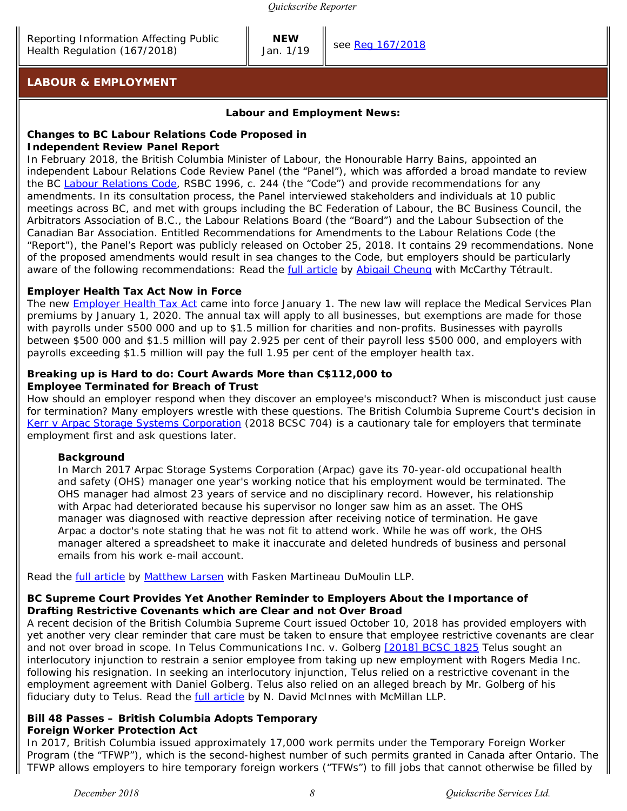**NEW**

Jan.  $1/19$  see [Reg 167/2018](https://www.quickscribe.bc.ca/secure/repository_redirect.php?document=0b3ed60254fa716a7c1b77262bfba135&anchor=)

#### <span id="page-7-0"></span>**LABOUR & EMPLOYMENT**

#### **Labour and Employment News:**

### **Changes to BC** *Labour Relations Code* **Proposed in**

#### **Independent Review Panel Report**

In February 2018, the British Columbia Minister of Labour, the Honourable Harry Bains, appointed an independent Labour Relations Code Review Panel (the "Panel"), which was afforded a broad mandate to review the BC *[Labour Relations Code](https://www.quickscribe.bc.ca/secure/index.php?page=document&doc_id=225)*, RSBC 1996, c. 244 (the "*Code*") and provide recommendations for any amendments. In its consultation process, the Panel interviewed stakeholders and individuals at 10 public meetings across BC, and met with groups including the BC Federation of Labour, the BC Business Council, the Arbitrators Association of B.C., the Labour Relations Board (the "Board") and the Labour Subsection of the Canadian Bar Association. Entitled *Recommendations for Amendments to the Labour Relations Code* (the "Report"), the Panel's Report was publicly released on October 25, 2018. It contains 29 recommendations. None of the proposed amendments would result in sea changes to the Code, but employers should be particularly aware of the following recommendations: Read the [full article](https://www.mccarthy.ca/fr/node/55661#page=1) by [Abigail Cheung](https://www.mccarthy.ca/fr/equipe/abigail-cheung) with McCarthy Tétrault.

#### *Employer Health Tax Act* **Now in Force**

The new *[Employer Health Tax Act](https://www.quickscribe.bc.ca/secure/index.php?page=document&doc_id=5749)* came into force January 1. The new law will replace the Medical Services Plan premiums by January 1, 2020. The annual tax will apply to all businesses, but exemptions are made for those with payrolls under \$500 000 and up to \$1.5 million for charities and non-profits. Businesses with payrolls between \$500 000 and \$1.5 million will pay 2.925 per cent of their payroll less \$500 000, and employers with payrolls exceeding \$1.5 million will pay the full 1.95 per cent of the employer health tax.

#### **Breaking up is Hard to do: Court Awards More than C\$112,000 to Employee Terminated for Breach of Trust**

How should an employer respond when they discover an employee's misconduct? When is misconduct just cause for termination? Many employers wrestle with these questions. The British Columbia Supreme Court's decision in *[Kerr v Arpac Storage Systems Corporation](https://www.courts.gov.bc.ca/jdb-txt/sc/18/07/2018BCSC0704.htm)* (2018 BCSC 704) is a cautionary tale for employers that terminate employment first and ask questions later.

#### *Background*

In March 2017 Arpac Storage Systems Corporation (Arpac) gave its 70-year-old occupational health and safety (OHS) manager one year's working notice that his employment would be terminated. The OHS manager had almost 23 years of service and no disciplinary record. However, his relationship with Arpac had deteriorated because his supervisor no longer saw him as an asset. The OHS manager was diagnosed with reactive depression after receiving notice of termination. He gave Arpac a doctor's note stating that he was not fit to attend work. While he was off work, the OHS manager altered a spreadsheet to make it inaccurate and deleted hundreds of business and personal emails from his work e-mail account.

Read the **full article by [Matthew Larsen](https://www.internationallawoffice.com/Directory/Fasken/Vancouver-BC/Matthew-Larsen)** with Fasken Martineau DuMoulin LLP.

#### **BC Supreme Court Provides Yet Another Reminder to Employers About the Importance of Drafting Restrictive Covenants which are Clear and not Over Broad**

A recent decision of the British Columbia Supreme Court issued October 10, 2018 has provided employers with yet another very clear reminder that care must be taken to ensure that employee restrictive covenants are clear and not over broad in scope. In *Telus Communications Inc. v. Golberg* [\[2018\] BCSC 1825](https://www.courts.gov.bc.ca/jdb-txt/sc/18/18/2018BCSC1825.htm) Telus sought an interlocutory injunction to restrain a senior employee from taking up new employment with Rogers Media Inc. following his resignation. In seeking an interlocutory injunction, Telus relied on a restrictive covenant in the employment agreement with Daniel Golberg. Telus also relied on an alleged breach by Mr. Golberg of his fiduciary duty to Telus. Read the [full article](https://mcmillan.ca/BC-Supreme-Court-Provides-Yet-Another-Reminder-to-Employers-About-the-Importance-of-Drafting-Restrictive-Covenants-Which-Are-Clear-And-Not-Over-Broad) by N. David McInnes with McMillan LLP.

#### **Bill 48 Passes – British Columbia Adopts** *Temporary Foreign Worker Protection Act*

In 2017, British Columbia issued approximately 17,000 work permits under the Temporary Foreign Worker Program (the "TFWP"), which is the second-highest number of such permits granted in Canada after Ontario. The TFWP allows employers to hire temporary foreign workers ("TFWs") to fill jobs that cannot otherwise be filled by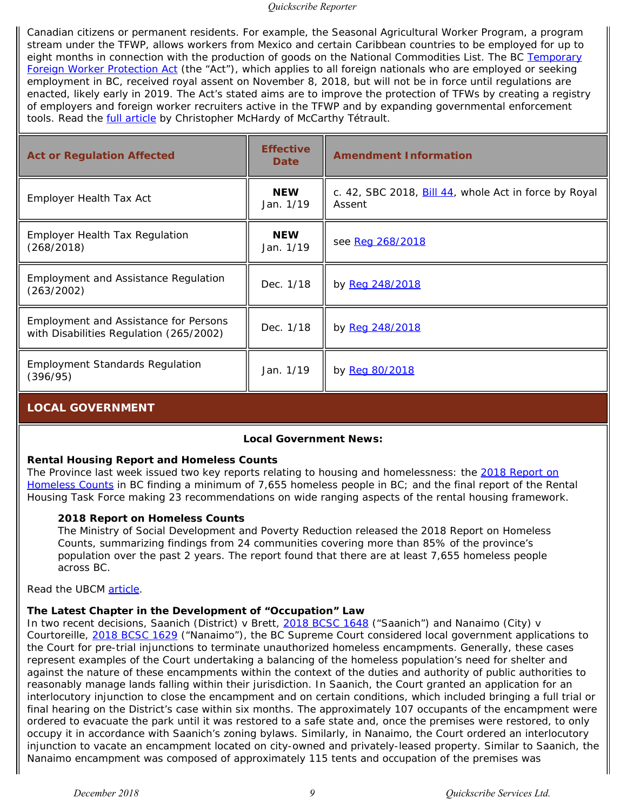Canadian citizens or permanent residents. For example, the Seasonal Agricultural Worker Program, a program stream under the TFWP, allows workers from Mexico and certain Caribbean countries to be employed for up to eight months in connection with the production of goods on the National Commodities List. The BC *[Temporary](https://www.quickscribe.bc.ca/secure/repository_redirect.php?document=549c9aec99110e595ef7db114d3b7aff&anchor=) [Foreign Worker Protection Act](https://www.quickscribe.bc.ca/secure/repository_redirect.php?document=549c9aec99110e595ef7db114d3b7aff&anchor=)* (the "Act"), which applies to all foreign nationals who are employed or seeking employment in BC, received royal assent on November 8, 2018, but will not be in force until regulations are enacted, likely early in 2019. The Act's stated aims are to improve the protection of TFWs by creating a registry of employers and foreign worker recruiters active in the TFWP and by expanding governmental enforcement tools. Read the **full article** by Christopher McHardy of McCarthy Tétrault.

| <b>Act or Regulation Affected</b>                                                       | <b>Effective</b><br><b>Date</b> | <b>Amendment Information</b>                                                          |
|-----------------------------------------------------------------------------------------|---------------------------------|---------------------------------------------------------------------------------------|
| Employer Health Tax Act                                                                 | <b>NEW</b><br>Jan. 1/19         | c. 42, SBC 2018, $\underline{\text{Bill 44}}$ , whole Act in force by Royal<br>Assent |
| <b>Employer Health Tax Regulation</b><br>(268/2018)                                     | <b>NEW</b><br>Jan. 1/19         | see Reg 268/2018                                                                      |
| Employment and Assistance Regulation<br>(263/2002)                                      | Dec. 1/18                       | by Reg 248/2018                                                                       |
| <b>Employment and Assistance for Persons</b><br>with Disabilities Regulation (265/2002) | Dec. 1/18                       | by Reg 248/2018                                                                       |
| <b>Employment Standards Regulation</b><br>(396/95)                                      | Jan. 1/19                       | by Reg 80/2018                                                                        |

#### <span id="page-8-0"></span>**LOCAL GOVERNMENT**

#### **Local Government News:**

#### **Rental Housing Report and Homeless Counts**

The Province last week issued two key reports relating to housing and homelessness: the *[2018 Report on](https://www.bchousing.org/research-centre/housing-data/homeless-counts) [Homeless Counts](https://www.bchousing.org/research-centre/housing-data/homeless-counts)* in BC finding a minimum of 7,655 homeless people in BC; and the final report of the Rental Housing Task Force making 23 recommendations on wide ranging aspects of the rental housing framework.

#### *2018 Report on Homeless Counts*

The Ministry of Social Development and Poverty Reduction released the *2018 Report on Homeless Counts*, summarizing findings from 24 communities covering more than 85% of the province's population over the past 2 years. The report found that there are at least 7,655 homeless people across BC.

Read the UBCM [article](https://www.ubcm.ca/EN/meta/news/news-archive/2018-archive/rental-housing-report-and-homeless-counts.html?utm_source=The+Compass+-+December+19%2C+2018&utm_campaign=The+Compass+-+December+19%2C+2018&utm_medium=email%20).

#### **The Latest Chapter in the Development of "Occupation" Law**

In two recent decisions, *Saanich (District) v Brett*, [2018 BCSC 1648](https://www.courts.gov.bc.ca/jdb-txt/sc/18/16/2018BCSC1648.htm) ("Saanich") and *Nanaimo (City) v Courtoreille*, [2018 BCSC 1629](https://www.courts.gov.bc.ca/jdb-txt/sc/18/16/2018BCSC1629.htm) ("Nanaimo"), the BC Supreme Court considered local government applications to the Court for pre-trial injunctions to terminate unauthorized homeless encampments. Generally, these cases represent examples of the Court undertaking a balancing of the homeless population's need for shelter and against the nature of these encampments within the context of the duties and authority of public authorities to reasonably manage lands falling within their jurisdiction. In *Saanich*, the Court granted an application for an interlocutory injunction to close the encampment and on certain conditions, which included bringing a full trial or final hearing on the District's case within six months. The approximately 107 occupants of the encampment were ordered to evacuate the park until it was restored to a safe state and, once the premises were restored, to only occupy it in accordance with Saanich's zoning bylaws. Similarly, in *Nanaimo*, the Court ordered an interlocutory injunction to vacate an encampment located on city-owned and privately-leased property. Similar to *Saanich*, the Nanaimo encampment was composed of approximately 115 tents and occupation of the premises was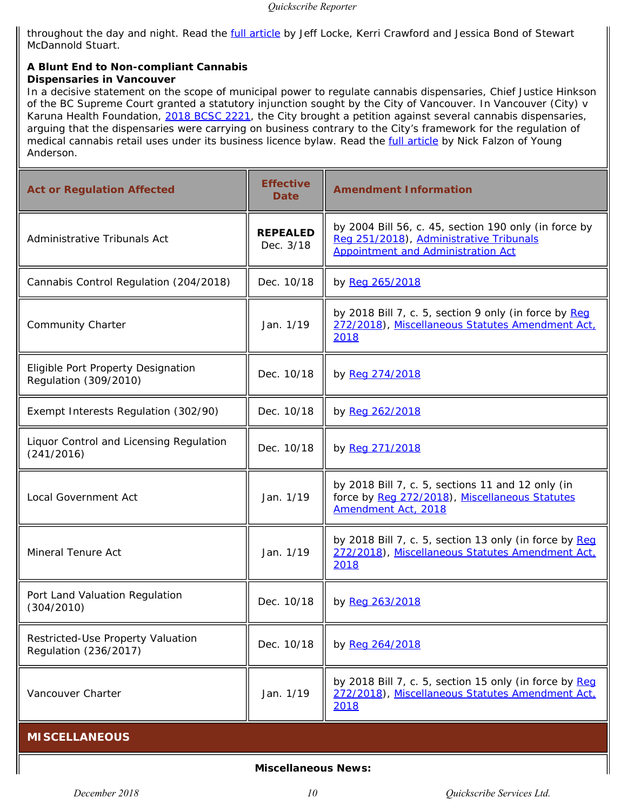throughout the day and night. Read the **full article** by Jeff Locke, Kerri Crawford and Jessica Bond of Stewart McDannold Stuart.

#### **A Blunt End to Non-compliant Cannabis Dispensaries in Vancouver**

In a decisive statement on the scope of municipal power to regulate cannabis dispensaries, Chief Justice Hinkson of the BC Supreme Court granted a statutory injunction sought by the City of Vancouver. In *Vancouver (City) v Karuna Health Foundation*, [2018 BCSC 2221](https://www.courts.gov.bc.ca/jdb-txt/sc/18/22/2018BCSC2221.htm), the City brought a petition against several cannabis dispensaries, arguing that the dispensaries were carrying on business contrary to the City's framework for the regulation of medical cannabis retail uses under its business licence bylaw. Read the **full article by Nick Falzon of Young** Anderson.

<span id="page-9-0"></span>

| <b>Act or Regulation Affected</b>                           | <b>Effective</b><br><b>Date</b> | <b>Amendment Information</b>                                                                                                                  |
|-------------------------------------------------------------|---------------------------------|-----------------------------------------------------------------------------------------------------------------------------------------------|
| Administrative Tribunals Act                                | <b>REPEALED</b><br>Dec. 3/18    | by 2004 Bill 56, c. 45, section 190 only (in force by<br>Reg 251/2018), Administrative Tribunals<br><b>Appointment and Administration Act</b> |
| Cannabis Control Regulation (204/2018)                      | Dec. 10/18                      | by Reg 265/2018                                                                                                                               |
| <b>Community Charter</b>                                    | Jan. 1/19                       | by 2018 Bill 7, c. 5, section 9 only (in force by Reg<br>272/2018), Miscellaneous Statutes Amendment Act.<br>2018                             |
| Eligible Port Property Designation<br>Regulation (309/2010) | Dec. 10/18                      | by Reg 274/2018                                                                                                                               |
| Exempt Interests Regulation (302/90)                        | Dec. 10/18                      | by Reg 262/2018                                                                                                                               |
| Liquor Control and Licensing Regulation<br>(241/2016)       | Dec. 10/18                      | by Reg 271/2018                                                                                                                               |
| Local Government Act                                        | Jan. 1/19                       | by 2018 Bill 7, c. 5, sections 11 and 12 only (in<br>force by Reg 272/2018), Miscellaneous Statutes<br>Amendment Act, 2018                    |
| Mineral Tenure Act                                          | Jan. 1/19                       | by 2018 Bill 7, c. 5, section 13 only (in force by Reg<br>272/2018), Miscellaneous Statutes Amendment Act.<br>2018                            |
| Port Land Valuation Regulation<br>(304/2010)                | Dec. 10/18                      | by Reg 263/2018                                                                                                                               |
| Restricted-Use Property Valuation<br>Regulation (236/2017)  | Dec. 10/18                      | by Reg 264/2018                                                                                                                               |
| Vancouver Charter                                           | Jan. 1/19                       | by 2018 Bill 7, c. 5, section 15 only (in force by Req<br>272/2018), Miscellaneous Statutes Amendment Act.<br>2018                            |
| <b>MISCELLANEOUS</b>                                        |                                 |                                                                                                                                               |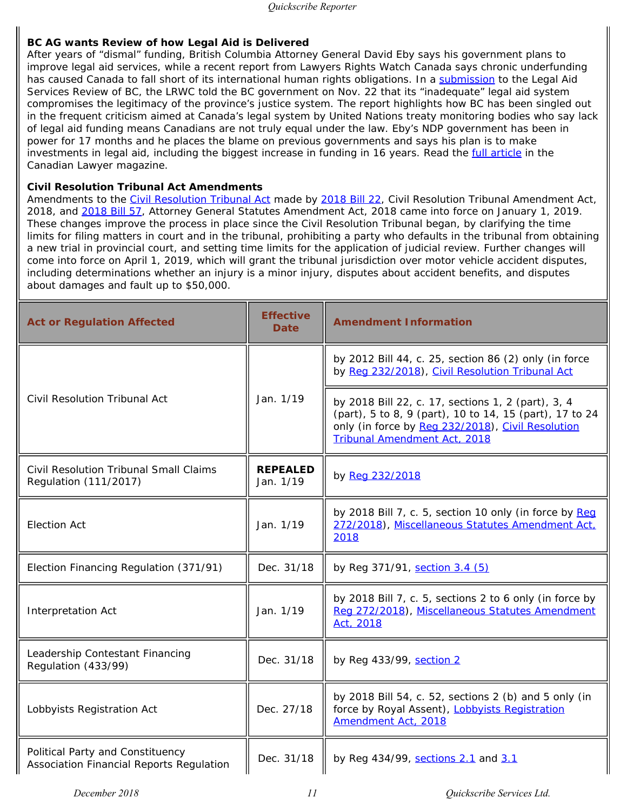#### **BC AG wants Review of how Legal Aid is Delivered**

After years of "dismal" funding, British Columbia Attorney General David Eby says his government plans to improve legal aid services, while a recent report from Lawyers Rights Watch Canada says chronic underfunding has caused Canada to fall short of its international human rights obligations. In a [submission](http://www.lrwc.org/ws/wp-content/uploads/2018/11/LRWC.Submission.BCLegalAidReview.22Nov2918.FINAL_.pdf) to the Legal Aid Services Review of BC, the LRWC told the BC government on Nov. 22 that its "inadequate" legal aid system compromises the legitimacy of the province's justice system. The report highlights how BC has been singled out in the frequent criticism aimed at Canada's legal system by United Nations treaty monitoring bodies who say lack of legal aid funding means Canadians are not truly equal under the law. Eby's NDP government has been in power for 17 months and he places the blame on previous governments and says his plan is to make investments in legal aid, including the biggest increase in funding in 16 years. Read the *full article* in the *Canadian Lawyer* magazine.

#### *Civil Resolution Tribunal Act* **Amendments**

Amendments to the *[Civil Resolution Tribunal Act](https://www.quickscribe.bc.ca/secure/index.php?page=document&doc_id=4090)* made by [2018 Bill 22](https://www.quickscribe.bc.ca/secure/repository_redirect.php?document=d75f8c05d925419aae3fcb5e5dd2e3a6&anchor=), *Civil Resolution Tribunal Amendment Act, 2018*, and [2018 Bill 57,](https://www.quickscribe.bc.ca/secure/repository_redirect.php?document=e06a4db4b4890f99a7a02011f2494f2e&anchor=) *Attorney General Statutes Amendment Act, 2018* came into force on January 1, 2019. These changes improve the process in place since the Civil Resolution Tribunal began, by clarifying the time limits for filing matters in court and in the tribunal, prohibiting a party who defaults in the tribunal from obtaining a new trial in provincial court, and setting time limits for the application of judicial review. Further changes will come into force on April 1, 2019, which will grant the tribunal jurisdiction over motor vehicle accident disputes, including determinations whether an injury is a minor injury, disputes about accident benefits, and disputes about damages and fault up to \$50,000.

| <b>Act or Regulation Affected</b>                                            | <b>Effective</b><br><b>Date</b> | <b>Amendment Information</b>                                                                                                                                                                              |
|------------------------------------------------------------------------------|---------------------------------|-----------------------------------------------------------------------------------------------------------------------------------------------------------------------------------------------------------|
|                                                                              |                                 | by 2012 Bill 44, c. 25, section 86 (2) only (in force<br>by Reg 232/2018), Civil Resolution Tribunal Act                                                                                                  |
| Civil Resolution Tribunal Act                                                | Jan. 1/19                       | by 2018 Bill 22, c. 17, sections 1, 2 (part), 3, 4<br>(part), 5 to 8, 9 (part), 10 to 14, 15 (part), 17 to 24<br>only (in force by Reg 232/2018), Civil Resolution<br><b>Tribunal Amendment Act, 2018</b> |
| <b>Civil Resolution Tribunal Small Claims</b><br>Regulation (111/2017)       | <b>REPEALED</b><br>Jan. 1/19    | by Reg 232/2018                                                                                                                                                                                           |
| <b>Election Act</b>                                                          | Jan. 1/19                       | by 2018 Bill 7, c. 5, section 10 only (in force by Reg<br>272/2018), Miscellaneous Statutes Amendment Act.<br>2018                                                                                        |
| Election Financing Regulation (371/91)                                       | Dec. 31/18                      | by Reg 371/91, section 3.4 (5)                                                                                                                                                                            |
| Interpretation Act                                                           | Jan. 1/19                       | by 2018 Bill 7, c. 5, sections 2 to 6 only (in force by<br>Reg 272/2018), Miscellaneous Statutes Amendment<br>Act, 2018                                                                                   |
| Leadership Contestant Financing<br>Regulation (433/99)                       | Dec. 31/18                      | by Reg 433/99, section 2                                                                                                                                                                                  |
| Lobbyists Registration Act                                                   | Dec. 27/18                      | by 2018 Bill 54, c. 52, sections 2 (b) and 5 only (in<br>force by Royal Assent), Lobbyists Registration<br>Amendment Act, 2018                                                                            |
| Political Party and Constituency<br>Association Financial Reports Regulation | Dec. 31/18                      | by Reg 434/99, sections 2.1 and 3.1                                                                                                                                                                       |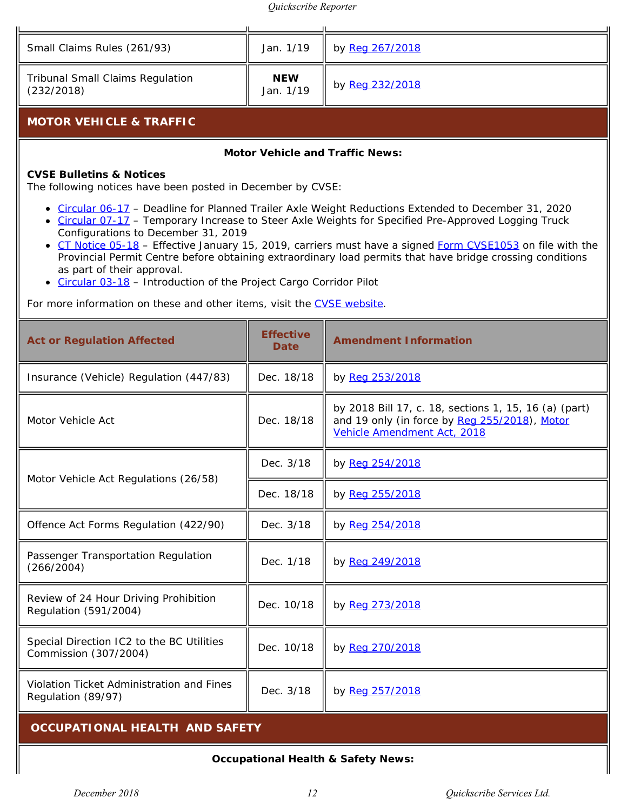<span id="page-11-0"></span>

| Small Claims Rules (261/93)                                                                                                                                                                                                                                                                                                                                                                                                                                                                                                                                                                                                                                 | Jan. 1/19                       | by Reg 267/2018                                                                                                                       |
|-------------------------------------------------------------------------------------------------------------------------------------------------------------------------------------------------------------------------------------------------------------------------------------------------------------------------------------------------------------------------------------------------------------------------------------------------------------------------------------------------------------------------------------------------------------------------------------------------------------------------------------------------------------|---------------------------------|---------------------------------------------------------------------------------------------------------------------------------------|
| <b>Tribunal Small Claims Regulation</b><br>(232/2018)                                                                                                                                                                                                                                                                                                                                                                                                                                                                                                                                                                                                       | <b>NEW</b><br>Jan. 1/19         | by Reg 232/2018                                                                                                                       |
| <b>MOTOR VEHICLE &amp; TRAFFIC</b>                                                                                                                                                                                                                                                                                                                                                                                                                                                                                                                                                                                                                          |                                 |                                                                                                                                       |
|                                                                                                                                                                                                                                                                                                                                                                                                                                                                                                                                                                                                                                                             |                                 | <b>Motor Vehicle and Traffic News:</b>                                                                                                |
| <b>CVSE Bulletins &amp; Notices</b><br>The following notices have been posted in December by CVSE:                                                                                                                                                                                                                                                                                                                                                                                                                                                                                                                                                          |                                 |                                                                                                                                       |
| Circular 06-17 - Deadline for Planned Trailer Axle Weight Reductions Extended to December 31, 2020<br>• Circular 07-17 - Temporary Increase to Steer Axle Weights for Specified Pre-Approved Logging Truck<br>Configurations to December 31, 2019<br>• CT Notice 05-18 - Effective January 15, 2019, carriers must have a signed Form CVSE1053 on file with the<br>Provincial Permit Centre before obtaining extraordinary load permits that have bridge crossing conditions<br>as part of their approval.<br>• Circular 03-18 - Introduction of the Project Cargo Corridor Pilot<br>For more information on these and other items, visit the CVSE website. |                                 |                                                                                                                                       |
| <b>Act or Regulation Affected</b>                                                                                                                                                                                                                                                                                                                                                                                                                                                                                                                                                                                                                           | <b>Effective</b><br><b>Date</b> | <b>Amendment Information</b>                                                                                                          |
| Insurance (Vehicle) Regulation (447/83)                                                                                                                                                                                                                                                                                                                                                                                                                                                                                                                                                                                                                     | Dec. 18/18                      | by Reg 253/2018                                                                                                                       |
| Motor Vehicle Act                                                                                                                                                                                                                                                                                                                                                                                                                                                                                                                                                                                                                                           | Dec. 18/18                      | by 2018 Bill 17, c. 18, sections 1, 15, 16 (a) (part)<br>and 19 only (in force by Reg 255/2018), Motor<br>Vehicle Amendment Act, 2018 |
| Motor Vehicle Act Regulations (26/58)                                                                                                                                                                                                                                                                                                                                                                                                                                                                                                                                                                                                                       | Dec. 3/18                       | by Reg 254/2018                                                                                                                       |
|                                                                                                                                                                                                                                                                                                                                                                                                                                                                                                                                                                                                                                                             | Dec. 18/18                      | by Reg 255/2018                                                                                                                       |
| Offence Act Forms Regulation (422/90)                                                                                                                                                                                                                                                                                                                                                                                                                                                                                                                                                                                                                       | Dec. 3/18                       | by Reg 254/2018                                                                                                                       |
| Passenger Transportation Regulation<br>(266/2004)                                                                                                                                                                                                                                                                                                                                                                                                                                                                                                                                                                                                           | Dec. 1/18                       | by Reg 249/2018                                                                                                                       |
| Review of 24 Hour Driving Prohibition<br>Regulation (591/2004)                                                                                                                                                                                                                                                                                                                                                                                                                                                                                                                                                                                              | Dec. 10/18                      | by Reg 273/2018                                                                                                                       |
| Special Direction IC2 to the BC Utilities<br>Commission (307/2004)                                                                                                                                                                                                                                                                                                                                                                                                                                                                                                                                                                                          | Dec. 10/18                      | by Reg 270/2018                                                                                                                       |
| Violation Ticket Administration and Fines<br>Regulation (89/97)                                                                                                                                                                                                                                                                                                                                                                                                                                                                                                                                                                                             | Dec. 3/18                       | by Reg 257/2018                                                                                                                       |
| <b>OCCUPATIONAL HEALTH AND SAFETY</b>                                                                                                                                                                                                                                                                                                                                                                                                                                                                                                                                                                                                                       |                                 |                                                                                                                                       |
| <b>Occupational Health &amp; Safety News:</b>                                                                                                                                                                                                                                                                                                                                                                                                                                                                                                                                                                                                               |                                 |                                                                                                                                       |

## <span id="page-11-1"></span>**Occupational Health & Safety News:**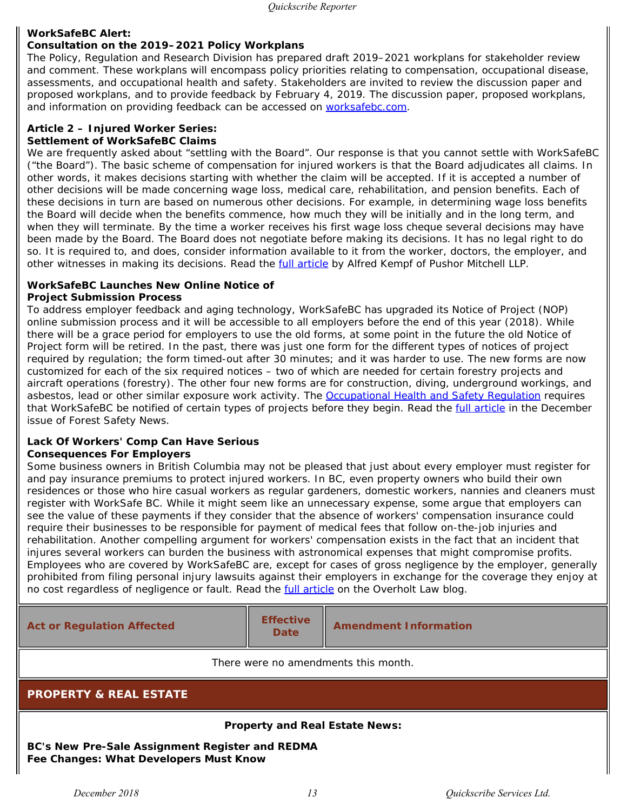#### **WorkSafeBC Alert:**

#### **Consultation on the 2019–2021 Policy Workplans**

The Policy, Regulation and Research Division has prepared draft 2019–2021 workplans for stakeholder review and comment. These workplans will encompass policy priorities relating to compensation, occupational disease, assessments, and occupational health and safety. Stakeholders are invited to review the discussion paper and proposed workplans, and to provide feedback by February 4, 2019. The discussion paper, proposed workplans, and information on providing feedback can be accessed on [worksafebc.com](https://www.worksafebc.com/en/law-policy/public-hearings-consultations/current-public-hearings-and-consultations/2019-2021-policy-workplans).

#### **Article 2 – Injured Worker Series: Settlement of WorkSafeBC Claims**

We are frequently asked about "settling with the Board". Our response is that you cannot settle with WorkSafeBC ("the Board"). The basic scheme of compensation for injured workers is that the Board adjudicates all claims. In other words, it makes decisions starting with whether the claim will be accepted. If it is accepted a number of other decisions will be made concerning wage loss, medical care, rehabilitation, and pension benefits. Each of these decisions in turn are based on numerous other decisions. For example, in determining wage loss benefits the Board will decide when the benefits commence, how much they will be initially and in the long term, and when they will terminate. By the time a worker receives his first wage loss cheque several decisions may have been made by the Board. The Board does not negotiate before making its decisions. It has no legal right to do so. It is required to, and does, consider information available to it from the worker, doctors, the employer, and other witnesses in making its decisions. Read the **full article by Alfred Kempf of Pushor Mitchell LLP**.

#### **WorkSafeBC Launches New Online Notice of Project Submission Process**

To address employer feedback and aging technology, WorkSafeBC has upgraded its Notice of Project (NOP) online submission process and it will be accessible to all employers before the end of this year (2018). While there will be a grace period for employers to use the old forms, at some point in the future the old Notice of Project form will be retired. In the past, there was just one form for the different types of notices of project required by regulation; the form timed-out after 30 minutes; and it was harder to use. The new forms are now customized for each of the six required notices – two of which are needed for certain forestry projects and aircraft operations (forestry). The other four new forms are for construction, diving, underground workings, and asbestos, lead or other similar exposure work activity. The [Occupational Health and Safety Regulation](https://www.quickscribe.bc.ca/secure/index.php?page=document&doc_id=2464) requires that WorkSafeBC be notified of certain types of projects before they begin. Read the *full article* in the December issue of *Forest Safety News*.

#### **Lack Of Workers' Comp Can Have Serious Consequences For Employers**

Some business owners in British Columbia may not be pleased that just about every employer must register for and pay insurance premiums to protect injured workers. In BC, even property owners who build their own residences or those who hire casual workers as regular gardeners, domestic workers, nannies and cleaners must register with WorkSafe BC. While it might seem like an unnecessary expense, some argue that employers can see the value of these payments if they consider that the absence of workers' compensation insurance could require their businesses to be responsible for payment of medical fees that follow on-the-job injuries and rehabilitation. Another compelling argument for workers' compensation exists in the fact that an incident that injures several workers can burden the business with astronomical expenses that might compromise profits. Employees who are covered by WorkSafeBC are, except for cases of gross negligence by the employer, generally prohibited from filing personal injury lawsuits against their employers in exchange for the coverage they enjoy at no cost regardless of negligence or fault. Read the [full article](https://www.overholtlawyers.com/blog/2018/12/lack-of-workers-comp-can-have-serious-consequences-for-employers.shtml) on the Overholt Law blog.

<span id="page-12-0"></span>**Act or Regulation Affected <b>Effective**<br>Date **Amendment Information** *There were no amendments this month.* **PROPERTY & REAL ESTATE Property and Real Estate News: BC's New Pre-Sale Assignment Register and REDMA Fee Changes: What Developers Must Know**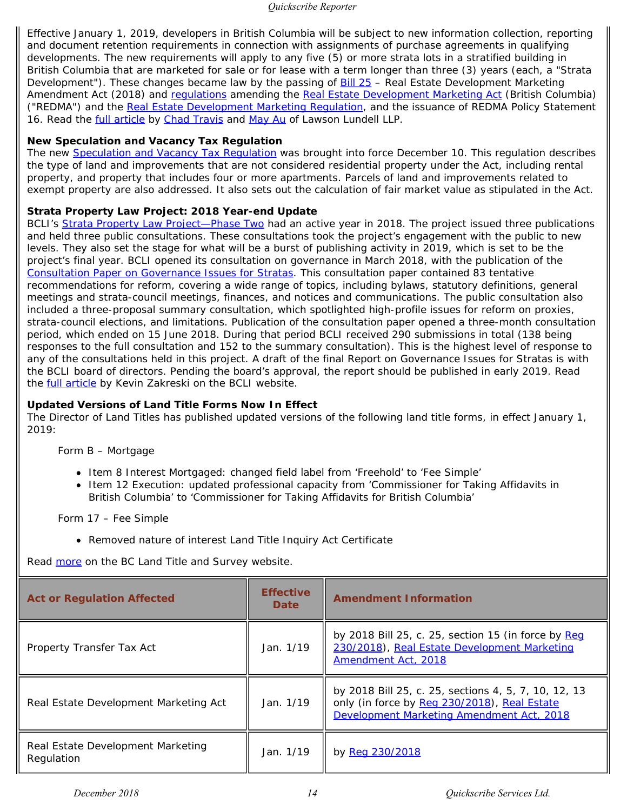Effective January 1, 2019, developers in British Columbia will be subject to new information collection, reporting and document retention requirements in connection with assignments of purchase agreements in qualifying developments. The new requirements will apply to any five (5) or more strata lots in a stratified building in British Columbia that are marketed for sale or for lease with a term longer than three (3) years (each, a "Strata Development"). These changes became law by the passing of [Bill 25](https://www.quickscribe.bc.ca/secure/repository_redirect.php?document=cc311e29aae9aa4aa4e777fe67525887&anchor=) – *Real Estate Development Marketing Amendment Act (2018)* and [regulations](https://www.quickscribe.bc.ca/secure/repository_redirect.php?document=4229eac72e41cbd89c58b96280253aaf&anchor=) amending the *[Real Estate Development Marketing Act](https://www.quickscribe.bc.ca/secure/index.php?page=document&doc_id=898)* (British Columbia) ("REDMA") and the [Real Estate Development Marketing Regulation](https://www.quickscribe.bc.ca/secure/index.php?page=document&doc_id=899), and the issuance of REDMA Policy Statement 16. Read the [full article](https://www.lawsonlundell.com/real-estate-law-blog/bcs-new-pre-sale-assignment-register-and-redma-fee-changes-what-developers-must-know) by [Chad Travis](https://www.lawsonlundell.com/real-estate-law-blog/author/Chad-Travis) and [May Au](https://www.lawsonlundell.com/real-estate-law-blog/author/May-Au) of Lawson Lundell LLP.

#### **New Speculation and Vacancy Tax Regulation**

The new [Speculation and Vacancy Tax Regulation](https://www.quickscribe.bc.ca/secure/index.php?page=document&doc_id=5766) was brought into force December 10. This regulation describes the type of land and improvements that are not considered residential property under the Act, including rental property, and property that includes four or more apartments. Parcels of land and improvements related to exempt property are also addressed. It also sets out the calculation of fair market value as stipulated in the Act.

#### **Strata Property Law Project: 2018 Year-end Update**

BCLI's [Strata Property Law Project—Phase Two](https://www.bcli.org/project/strata-property-law-phase-two) had an active year in 2018. The project issued three publications and held three public consultations. These consultations took the project's engagement with the public to new levels. They also set the stage for what will be a burst of publishing activity in 2019, which is set to be the project's final year. BCLI opened its consultation on governance in March 2018, with the publication of the *[Consultation Paper on Governance Issues for Stratas](https://www.bcli.org/publication/consultation-paper-on-governance-issues-for-stratas-and-response-booklet)*. This consultation paper contained 83 tentative recommendations for reform, covering a wide range of topics, including bylaws, statutory definitions, general meetings and strata-council meetings, finances, and notices and communications. The public consultation also included a three-proposal summary consultation, which spotlighted high-profile issues for reform on proxies, strata-council elections, and limitations. Publication of the consultation paper opened a three-month consultation period, which ended on 15 June 2018. During that period BCLI received 290 submissions in total (138 being responses to the full consultation and 152 to the summary consultation). This is the highest level of response to any of the consultations held in this project. A draft of the final *Report on Governance Issues for Stratas* is with the BCLI board of directors. Pending the board's approval, the report should be published in early 2019. Read the **full article** by Kevin Zakreski on the BCLI website.

#### **Updated Versions of Land Title Forms Now In Effect**

The Director of Land Titles has published updated versions of the following land title forms, in effect January 1, 2019:

Form B – Mortgage

- Item 8 Interest Mortgaged: changed field label from 'Freehold' to 'Fee Simple'
- Item 12 Execution: updated professional capacity from 'Commissioner for Taking Affidavits in British Columbia' to 'Commissioner for Taking Affidavits for British Columbia'

Form 17 – Fee Simple

Removed nature of interest Land Title Inquiry Act Certificate

Read [more](https://ltsa.ca/news/updated-versions-land-title-forms-now-effect) on the BC Land Title and Survey website.

| <b>Act or Regulation Affected</b>               | <b>Effective</b><br><b>Date</b> | <b>Amendment Information</b>                                                                                                                      |
|-------------------------------------------------|---------------------------------|---------------------------------------------------------------------------------------------------------------------------------------------------|
| Property Transfer Tax Act                       | Jan. 1/19                       | by 2018 Bill 25, c. 25, section 15 (in force by Reg<br>230/2018), Real Estate Development Marketing<br>Amendment Act, 2018                        |
| Real Estate Development Marketing Act           | Jan. 1/19                       | by 2018 Bill 25, c. 25, sections 4, 5, 7, 10, 12, 13<br>only (in force by Reg 230/2018), Real Estate<br>Development Marketing Amendment Act, 2018 |
| Real Estate Development Marketing<br>Regulation | Jan. 1/19                       | by Reg 230/2018                                                                                                                                   |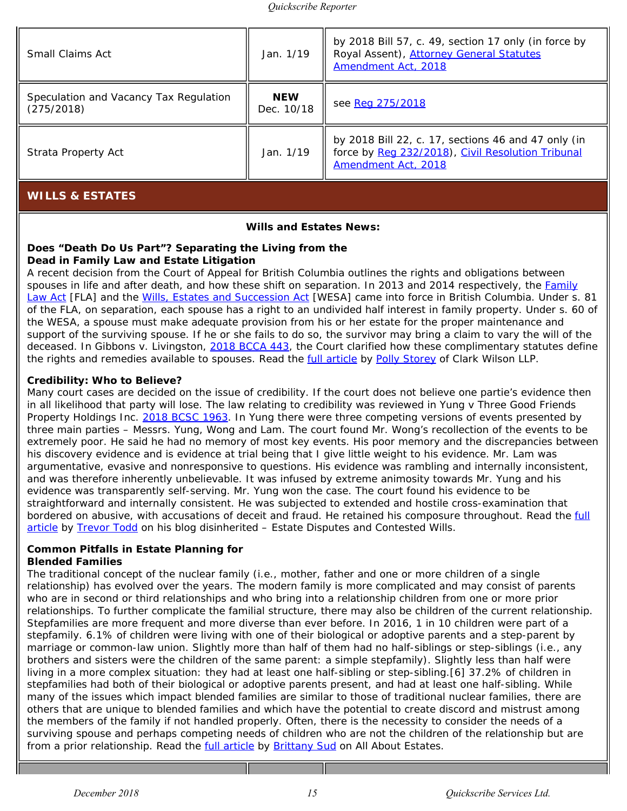| <b>Small Claims Act</b>                              | Jan. 1/19                | by 2018 Bill 57, c. 49, section 17 only (in force by<br>Royal Assent), Attorney General Statutes<br>Amendment Act, 2018         |
|------------------------------------------------------|--------------------------|---------------------------------------------------------------------------------------------------------------------------------|
| Speculation and Vacancy Tax Regulation<br>(275/2018) | <b>NEW</b><br>Dec. 10/18 | see Reg 275/2018                                                                                                                |
| Strata Property Act                                  | Jan. 1/19                | by 2018 Bill 22, c. 17, sections 46 and 47 only (in<br>force by Reg 232/2018), Civil Resolution Tribunal<br>Amendment Act, 2018 |
| <b>WILLS &amp; ESTATES</b>                           |                          |                                                                                                                                 |

#### **Wills and Estates News:**

#### <span id="page-14-0"></span>**Does "Death Do Us Part"? Separating the Living from the Dead in Family Law and Estate Litigation**

A recent decision from the Court of Appeal for British Columbia outlines the rights and obligations between spouses in life and after death, and how these shift on separation. In 2013 and 2014 respectively, the *[Family](https://www.quickscribe.bc.ca/secure/index.php?page=document&doc_id=4032) [Law Act](https://www.quickscribe.bc.ca/secure/index.php?page=document&doc_id=4032)* [*FLA*] and the *[Wills, Estates and Succession Act](https://www.quickscribe.bc.ca/secure/index.php?page=document&doc_id=4073)* [*WESA*] came into force in British Columbia. Under s. 81 of the *FLA*, on separation, each spouse has a right to an undivided half interest in family property. Under s. 60 of the *WESA*, a spouse must make adequate provision from his or her estate for the proper maintenance and support of the surviving spouse. If he or she fails to do so, the survivor may bring a claim to vary the will of the deceased. In *Gibbons v. Livingston*, [2018 BCCA 443](https://www.courts.gov.bc.ca/jdb-txt/ca/18/04/2018BCCA0443.htm), the Court clarified how these complimentary statutes define the rights and remedies available to spouses. Read the [full article](https://www.cwilson.com/does-death-do-us-part-separating-the-living-from-the-dead-in-family-law-and-estate-litigation/) by [Polly Storey](https://www.cwilson.com/people/polly-storey/) of Clark Wilson LLP.

#### **Credibility: Who to Believe?**

Many court cases are decided on the issue of credibility. If the court does not believe one partie's evidence then in all likelihood that party will lose. The law relating to credibility was reviewed in *Yung v Three Good Friends Property Holdings Inc.* [2018 BCSC 1963](https://www.courts.gov.bc.ca/jdb-txt/sc/18/19/2018BCSC1963cor1.htm). In *Yung* there were three competing versions of events presented by three main parties – Messrs. Yung, Wong and Lam. The court found Mr. Wong's recollection of the events to be extremely poor. He said he had no memory of most key events. His poor memory and the discrepancies between his discovery evidence and is evidence at trial being that I give little weight to his evidence. Mr. Lam was argumentative, evasive and nonresponsive to questions. His evidence was rambling and internally inconsistent, and was therefore inherently unbelievable. It was infused by extreme animosity towards Mr. Yung and his evidence was transparently self-serving. Mr. Yung won the case. The court found his evidence to be straightforward and internally consistent. He was subjected to extended and hostile cross-examination that bordered on abusive, with accusations of deceit and fraud. He retained his composure throughout. Read the [full](http://disinherited.com/credibility-who-to-believe/) [article](http://disinherited.com/credibility-who-to-believe/) by [Trevor Todd](http://disinherited.com/team/) on his blog *disinherited – Estate Disputes and Contested Wills*.

#### **Common Pitfalls in Estate Planning for Blended Families**

The traditional concept of the nuclear family (i.e., mother, father and one or more children of a single relationship) has evolved over the years. The modern family is more complicated and may consist of parents who are in second or third relationships and who bring into a relationship children from one or more prior relationships. To further complicate the familial structure, there may also be children of the current relationship. Stepfamilies are more frequent and more diverse than ever before. In 2016, 1 in 10 children were part of a stepfamily. 6.1% of children were living with one of their biological or adoptive parents and a step-parent by marriage or common-law union. Slightly more than half of them had no half-siblings or step-siblings (i.e., any brothers and sisters were the children of the same parent: a simple stepfamily). Slightly less than half were living in a more complex situation: they had at least one half-sibling or step-sibling.[6] 37.2% of children in stepfamilies had both of their biological or adoptive parents present, and had at least one half-sibling. While many of the issues which impact blended families are similar to those of traditional nuclear families, there are others that are unique to blended families and which have the potential to create discord and mistrust among the members of the family if not handled properly. Often, there is the necessity to consider the needs of a surviving spouse and perhaps competing needs of children who are not the children of the relationship but are from a prior relationship. Read the [full article](https://www.allaboutestates.ca/common-pitfalls-in-estate-planning-for-blended-families/) by [Brittany Sud](javascript:;) on *All About Estates.*